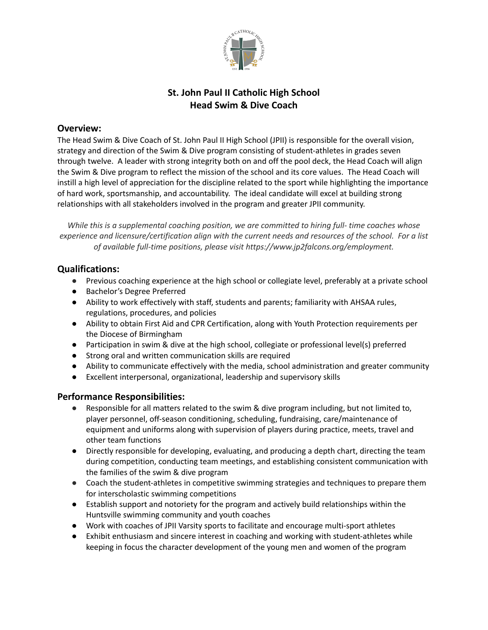

## **St. John Paul II Catholic High School Head Swim & Dive Coach**

#### **Overview:**

The Head Swim & Dive Coach of St. John Paul II High School (JPII) is responsible for the overall vision, strategy and direction of the Swim & Dive program consisting of student-athletes in grades seven through twelve. A leader with strong integrity both on and off the pool deck, the Head Coach will align the Swim & Dive program to reflect the mission of the school and its core values. The Head Coach will instill a high level of appreciation for the discipline related to the sport while highlighting the importance of hard work, sportsmanship, and accountability. The ideal candidate will excel at building strong relationships with all stakeholders involved in the program and greater JPII community.

*While this is a supplemental coaching position, we are committed to hiring full- time coaches whose experience and licensure/certification align with the current needs and resources of the school. For a list of available full-time positions, please visit https://www.jp2falcons.org/employment.*

## **Qualifications:**

- Previous coaching experience at the high school or collegiate level, preferably at a private school
- Bachelor's Degree Preferred
- Ability to work effectively with staff, students and parents; familiarity with AHSAA rules, regulations, procedures, and policies
- Ability to obtain First Aid and CPR Certification, along with Youth Protection requirements per the Diocese of Birmingham
- Participation in swim & dive at the high school, collegiate or professional level(s) preferred
- Strong oral and written communication skills are required
- Ability to communicate effectively with the media, school administration and greater community
- Excellent interpersonal, organizational, leadership and supervisory skills

## **Performance Responsibilities:**

- Responsible for all matters related to the swim & dive program including, but not limited to, player personnel, off-season conditioning, scheduling, fundraising, care/maintenance of equipment and uniforms along with supervision of players during practice, meets, travel and other team functions
- Directly responsible for developing, evaluating, and producing a depth chart, directing the team during competition, conducting team meetings, and establishing consistent communication with the families of the swim & dive program
- Coach the student-athletes in competitive swimming strategies and techniques to prepare them for interscholastic swimming competitions
- Establish support and notoriety for the program and actively build relationships within the Huntsville swimming community and youth coaches
- Work with coaches of JPII Varsity sports to facilitate and encourage multi-sport athletes
- Exhibit enthusiasm and sincere interest in coaching and working with student-athletes while keeping in focus the character development of the young men and women of the program